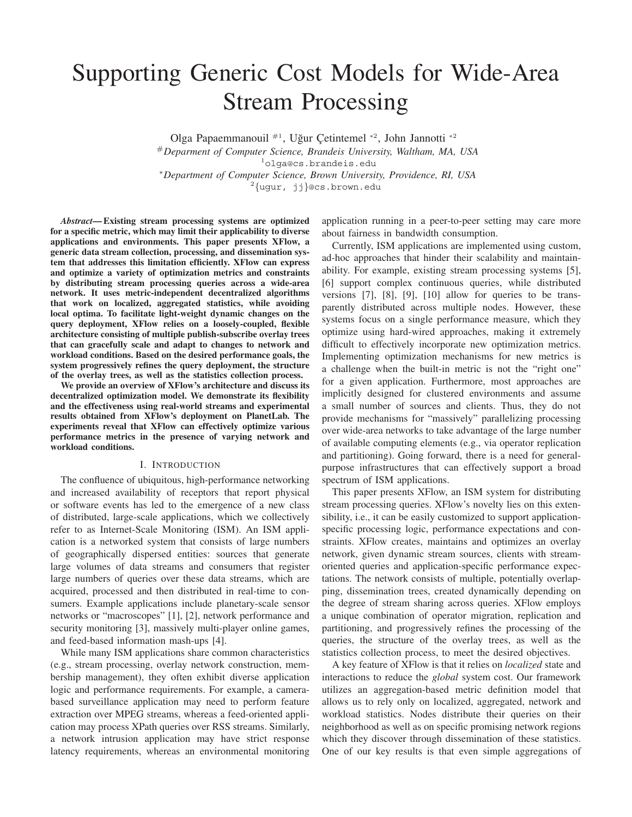# Supporting Generic Cost Models for Wide-Area Stream Processing

Olga Papaemmanouil  $^{#1}$ , Uğur Cetintemel  $^{*2}$ , John Jannotti  $^{*2}$ 

#*Deparment of Computer Science, Brandeis University, Waltham, MA, USA* <sup>1</sup>olga@cs.brandeis.edu ∗*Department of Computer Science, Brown University, Providence, RI, USA*

 $^{2}$ {ugur, jj}@cs.brown.edu

*Abstract***— Existing stream processing systems are optimized for a specific metric, which may limit their applicability to diverse applications and environments. This paper presents XFlow, a generic data stream collection, processing, and dissemination system that addresses this limitation efficiently. XFlow can express and optimize a variety of optimization metrics and constraints by distributing stream processing queries across a wide-area network. It uses metric-independent decentralized algorithms that work on localized, aggregated statistics, while avoiding local optima. To facilitate light-weight dynamic changes on the query deployment, XFlow relies on a loosely-coupled, flexible architecture consisting of multiple publish-subscribe overlay trees that can gracefully scale and adapt to changes to network and workload conditions. Based on the desired performance goals, the system progressively refines the query deployment, the structure of the overlay trees, as well as the statistics collection process.**

**We provide an overview of XFlow's architecture and discuss its decentralized optimization model. We demonstrate its flexibility and the effectiveness using real-world streams and experimental results obtained from XFlow's deployment on PlanetLab. The experiments reveal that XFlow can effectively optimize various performance metrics in the presence of varying network and workload conditions.**

#### I. INTRODUCTION

The confluence of ubiquitous, high-performance networking and increased availability of receptors that report physical or software events has led to the emergence of a new class of distributed, large-scale applications, which we collectively refer to as Internet-Scale Monitoring (ISM). An ISM application is a networked system that consists of large numbers of geographically dispersed entities: sources that generate large volumes of data streams and consumers that register large numbers of queries over these data streams, which are acquired, processed and then distributed in real-time to consumers. Example applications include planetary-scale sensor networks or "macroscopes" [1], [2], network performance and security monitoring [3], massively multi-player online games, and feed-based information mash-ups [4].

While many ISM applications share common characteristics (e.g., stream processing, overlay network construction, membership management), they often exhibit diverse application logic and performance requirements. For example, a camerabased surveillance application may need to perform feature extraction over MPEG streams, whereas a feed-oriented application may process XPath queries over RSS streams. Similarly, a network intrusion application may have strict response latency requirements, whereas an environmental monitoring application running in a peer-to-peer setting may care more about fairness in bandwidth consumption.

Currently, ISM applications are implemented using custom, ad-hoc approaches that hinder their scalability and maintainability. For example, existing stream processing systems [5], [6] support complex continuous queries, while distributed versions [7], [8], [9], [10] allow for queries to be transparently distributed across multiple nodes. However, these systems focus on a single performance measure, which they optimize using hard-wired approaches, making it extremely difficult to effectively incorporate new optimization metrics. Implementing optimization mechanisms for new metrics is a challenge when the built-in metric is not the "right one" for a given application. Furthermore, most approaches are implicitly designed for clustered environments and assume a small number of sources and clients. Thus, they do not provide mechanisms for "massively" parallelizing processing over wide-area networks to take advantage of the large number of available computing elements (e.g., via operator replication and partitioning). Going forward, there is a need for generalpurpose infrastructures that can effectively support a broad spectrum of ISM applications.

This paper presents XFlow, an ISM system for distributing stream processing queries. XFlow's novelty lies on this extensibility, i.e., it can be easily customized to support applicationspecific processing logic, performance expectations and constraints. XFlow creates, maintains and optimizes an overlay network, given dynamic stream sources, clients with streamoriented queries and application-specific performance expectations. The network consists of multiple, potentially overlapping, dissemination trees, created dynamically depending on the degree of stream sharing across queries. XFlow employs a unique combination of operator migration, replication and partitioning, and progressively refines the processing of the queries, the structure of the overlay trees, as well as the statistics collection process, to meet the desired objectives.

A key feature of XFlow is that it relies on *localized* state and interactions to reduce the *global* system cost. Our framework utilizes an aggregation-based metric definition model that allows us to rely only on localized, aggregated, network and workload statistics. Nodes distribute their queries on their neighborhood as well as on specific promising network regions which they discover through dissemination of these statistics. One of our key results is that even simple aggregations of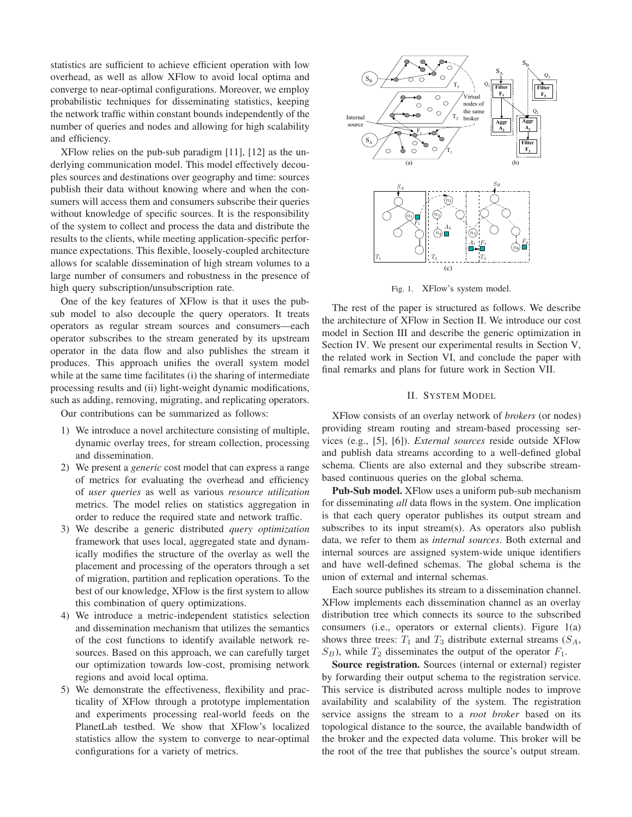statistics are sufficient to achieve efficient operation with low overhead, as well as allow XFlow to avoid local optima and converge to near-optimal configurations. Moreover, we employ probabilistic techniques for disseminating statistics, keeping the network traffic within constant bounds independently of the number of queries and nodes and allowing for high scalability and efficiency.

XFlow relies on the pub-sub paradigm [11], [12] as the underlying communication model. This model effectively decouples sources and destinations over geography and time: sources publish their data without knowing where and when the consumers will access them and consumers subscribe their queries without knowledge of specific sources. It is the responsibility of the system to collect and process the data and distribute the results to the clients, while meeting application-specific performance expectations. This flexible, loosely-coupled architecture allows for scalable dissemination of high stream volumes to a large number of consumers and robustness in the presence of high query subscription/unsubscription rate.

One of the key features of XFlow is that it uses the pubsub model to also decouple the query operators. It treats operators as regular stream sources and consumers—each operator subscribes to the stream generated by its upstream operator in the data flow and also publishes the stream it produces. This approach unifies the overall system model while at the same time facilitates (i) the sharing of intermediate processing results and (ii) light-weight dynamic modifications, such as adding, removing, migrating, and replicating operators.

Our contributions can be summarized as follows:

- 1) We introduce a novel architecture consisting of multiple, dynamic overlay trees, for stream collection, processing and dissemination.
- 2) We present a *generic* cost model that can express a range of metrics for evaluating the overhead and efficiency of *user queries* as well as various *resource utilization* metrics. The model relies on statistics aggregation in order to reduce the required state and network traffic.
- 3) We describe a generic distributed *query optimization* framework that uses local, aggregated state and dynamically modifies the structure of the overlay as well the placement and processing of the operators through a set of migration, partition and replication operations. To the best of our knowledge, XFlow is the first system to allow this combination of query optimizations.
- 4) We introduce a metric-independent statistics selection and dissemination mechanism that utilizes the semantics of the cost functions to identify available network resources. Based on this approach, we can carefully target our optimization towards low-cost, promising network regions and avoid local optima.
- 5) We demonstrate the effectiveness, flexibility and practicality of XFlow through a prototype implementation and experiments processing real-world feeds on the PlanetLab testbed. We show that XFlow's localized statistics allow the system to converge to near-optimal configurations for a variety of metrics.



Fig. 1. XFlow's system model.

The rest of the paper is structured as follows. We describe the architecture of XFlow in Section II. We introduce our cost model in Section III and describe the generic optimization in Section IV. We present our experimental results in Section V, the related work in Section VI, and conclude the paper with final remarks and plans for future work in Section VII.

#### II. SYSTEM MODEL

XFlow consists of an overlay network of *brokers* (or nodes) providing stream routing and stream-based processing services (e.g., [5], [6]). *External sources* reside outside XFlow and publish data streams according to a well-defined global schema. Clients are also external and they subscribe streambased continuous queries on the global schema.

**Pub-Sub model.** XFlow uses a uniform pub-sub mechanism for disseminating *all* data flows in the system. One implication is that each query operator publishes its output stream and subscribes to its input stream(s). As operators also publish data, we refer to them as *internal sources*. Both external and internal sources are assigned system-wide unique identifiers and have well-defined schemas. The global schema is the union of external and internal schemas.

Each source publishes its stream to a dissemination channel. XFlow implements each dissemination channel as an overlay distribution tree which connects its source to the subscribed consumers (i.e., operators or external clients). Figure 1(a) shows three trees:  $T_1$  and  $T_3$  distribute external streams  $(S_A,$  $S_B$ ), while  $T_2$  disseminates the output of the operator  $F_1$ .

**Source registration.** Sources (internal or external) register by forwarding their output schema to the registration service. This service is distributed across multiple nodes to improve availability and scalability of the system. The registration service assigns the stream to a *root broker* based on its topological distance to the source, the available bandwidth of the broker and the expected data volume. This broker will be the root of the tree that publishes the source's output stream.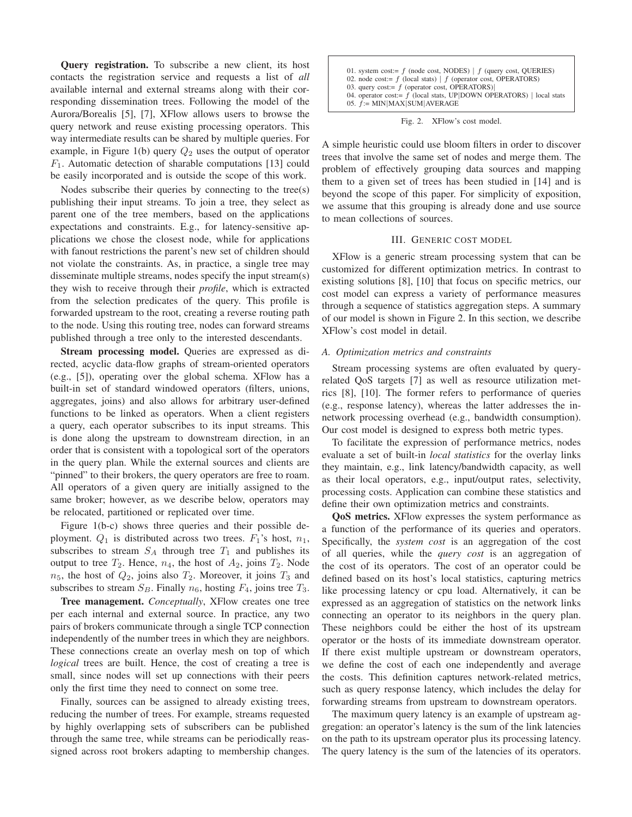**Query registration.** To subscribe a new client, its host contacts the registration service and requests a list of *all* available internal and external streams along with their corresponding dissemination trees. Following the model of the Aurora/Borealis [5], [7], XFlow allows users to browse the query network and reuse existing processing operators. This way intermediate results can be shared by multiple queries. For example, in Figure 1(b) query  $Q_2$  uses the output of operator  $F_1$ . Automatic detection of sharable computations [13] could be easily incorporated and is outside the scope of this work.

Nodes subscribe their queries by connecting to the tree(s) publishing their input streams. To join a tree, they select as parent one of the tree members, based on the applications expectations and constraints. E.g., for latency-sensitive applications we chose the closest node, while for applications with fanout restrictions the parent's new set of children should not violate the constraints. As, in practice, a single tree may disseminate multiple streams, nodes specify the input stream(s) they wish to receive through their *profile*, which is extracted from the selection predicates of the query. This profile is forwarded upstream to the root, creating a reverse routing path to the node. Using this routing tree, nodes can forward streams published through a tree only to the interested descendants.

**Stream processing model.** Queries are expressed as directed, acyclic data-flow graphs of stream-oriented operators (e.g., [5]), operating over the global schema. XFlow has a built-in set of standard windowed operators (filters, unions, aggregates, joins) and also allows for arbitrary user-defined functions to be linked as operators. When a client registers a query, each operator subscribes to its input streams. This is done along the upstream to downstream direction, in an order that is consistent with a topological sort of the operators in the query plan. While the external sources and clients are "pinned" to their brokers, the query operators are free to roam. All operators of a given query are initially assigned to the same broker; however, as we describe below, operators may be relocated, partitioned or replicated over time.

Figure 1(b-c) shows three queries and their possible deployment.  $Q_1$  is distributed across two trees.  $F_1$ 's host,  $n_1$ , subscribes to stream  $S_A$  through tree  $T_1$  and publishes its output to tree  $T_2$ . Hence,  $n_4$ , the host of  $A_2$ , joins  $T_2$ . Node  $n_5$ , the host of  $Q_2$ , joins also  $T_2$ . Moreover, it joins  $T_3$  and subscribes to stream  $S_B$ . Finally  $n_6$ , hosting  $F_4$ , joins tree  $T_3$ .

**Tree management.** *Conceptually*, XFlow creates one tree per each internal and external source. In practice, any two pairs of brokers communicate through a single TCP connection independently of the number trees in which they are neighbors. These connections create an overlay mesh on top of which *logical* trees are built. Hence, the cost of creating a tree is small, since nodes will set up connections with their peers only the first time they need to connect on some tree.

Finally, sources can be assigned to already existing trees, reducing the number of trees. For example, streams requested by highly overlapping sets of subscribers can be published through the same tree, while streams can be periodically reassigned across root brokers adapting to membership changes.

| 01. system cost:= $f$ (node cost, NODES)   $f$ (query cost, OUERIES)<br>02. node cost:= $f$ (local stats)   $f$ (operator cost, OPERATORS)<br>03. query cost:= $f$ (operator cost, OPERATORS)<br>04. operator cost:= $f$ (local stats, UP DOWN OPERATORS)   local stats<br>05. $f := MIN MAX SUM AVERAGE$ |
|-----------------------------------------------------------------------------------------------------------------------------------------------------------------------------------------------------------------------------------------------------------------------------------------------------------|
|-----------------------------------------------------------------------------------------------------------------------------------------------------------------------------------------------------------------------------------------------------------------------------------------------------------|

Fig. 2. XFlow's cost model.

A simple heuristic could use bloom filters in order to discover trees that involve the same set of nodes and merge them. The problem of effectively grouping data sources and mapping them to a given set of trees has been studied in [14] and is beyond the scope of this paper. For simplicity of exposition, we assume that this grouping is already done and use source to mean collections of sources.

## III. GENERIC COST MODEL

XFlow is a generic stream processing system that can be customized for different optimization metrics. In contrast to existing solutions [8], [10] that focus on specific metrics, our cost model can express a variety of performance measures through a sequence of statistics aggregation steps. A summary of our model is shown in Figure 2. In this section, we describe XFlow's cost model in detail.

## *A. Optimization metrics and constraints*

Stream processing systems are often evaluated by queryrelated QoS targets [7] as well as resource utilization metrics [8], [10]. The former refers to performance of queries (e.g., response latency), whereas the latter addresses the innetwork processing overhead (e.g., bandwidth consumption). Our cost model is designed to express both metric types.

To facilitate the expression of performance metrics, nodes evaluate a set of built-in *local statistics* for the overlay links they maintain, e.g., link latency/bandwidth capacity, as well as their local operators, e.g., input/output rates, selectivity, processing costs. Application can combine these statistics and define their own optimization metrics and constraints.

**QoS metrics.** XFlow expresses the system performance as a function of the performance of its queries and operators. Specifically, the *system cost* is an aggregation of the cost of all queries, while the *query cost* is an aggregation of the cost of its operators. The cost of an operator could be defined based on its host's local statistics, capturing metrics like processing latency or cpu load. Alternatively, it can be expressed as an aggregation of statistics on the network links connecting an operator to its neighbors in the query plan. These neighbors could be either the host of its upstream operator or the hosts of its immediate downstream operator. If there exist multiple upstream or downstream operators, we define the cost of each one independently and average the costs. This definition captures network-related metrics, such as query response latency, which includes the delay for forwarding streams from upstream to downstream operators.

The maximum query latency is an example of upstream aggregation: an operator's latency is the sum of the link latencies on the path to its upstream operator plus its processing latency. The query latency is the sum of the latencies of its operators.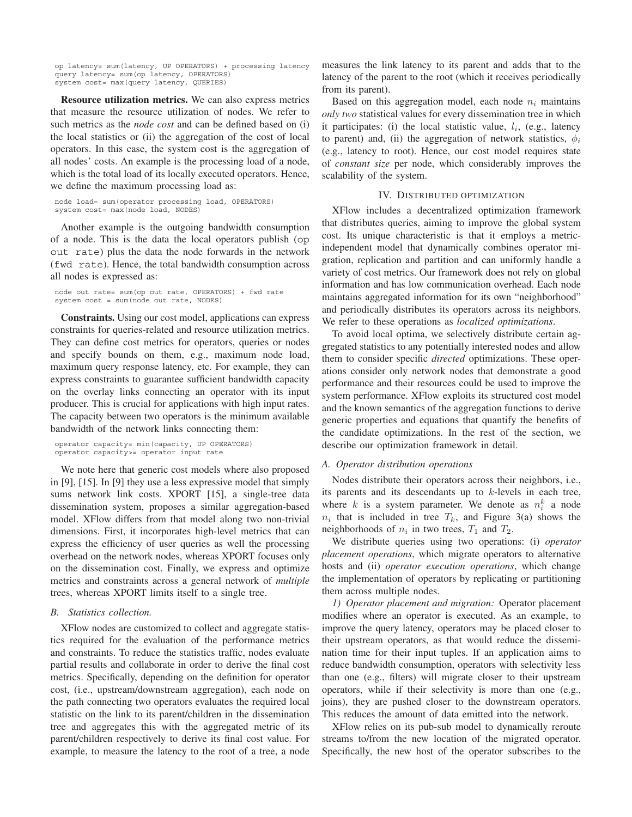op latency= sum(latency, UP OPERATORS) + processing latency query latency= sum(op latency, OPERATORS) system cost= max(query latency, QUERIES)

**Resource utilization metrics.** We can also express metrics that measure the resource utilization of nodes. We refer to such metrics as the *node cost* and can be defined based on (i) the local statistics or (ii) the aggregation of the cost of local operators. In this case, the system cost is the aggregation of all nodes' costs. An example is the processing load of a node, which is the total load of its locally executed operators. Hence, we define the maximum processing load as:

```
node load= sum(operator processing load, OPERATORS)
system cost= max(node load, NODES)
```
Another example is the outgoing bandwidth consumption of a node. This is the data the local operators publish (op out rate) plus the data the node forwards in the network (fwd rate). Hence, the total bandwidth consumption across all nodes is expressed as:

```
node out rate= sum(op out rate, OPERATORS) + fwd rate
system cost = sum(node out rate, NODES)
```
**Constraints.** Using our cost model, applications can express constraints for queries-related and resource utilization metrics. They can define cost metrics for operators, queries or nodes and specify bounds on them, e.g., maximum node load, maximum query response latency, etc. For example, they can express constraints to guarantee sufficient bandwidth capacity on the overlay links connecting an operator with its input producer. This is crucial for applications with high input rates. The capacity between two operators is the minimum available bandwidth of the network links connecting them:

```
operator capacity= min(capacity, UP OPERATORS)
operator capacity>= operator input rate
```
We note here that generic cost models where also proposed in [9], [15]. In [9] they use a less expressive model that simply sums network link costs. XPORT [15], a single-tree data dissemination system, proposes a similar aggregation-based model. XFlow differs from that model along two non-trivial dimensions. First, it incorporates high-level metrics that can express the efficiency of user queries as well the processing overhead on the network nodes, whereas XPORT focuses only on the dissemination cost. Finally, we express and optimize metrics and constraints across a general network of *multiple* trees, whereas XPORT limits itself to a single tree.

## *B. Statistics collection.*

XFlow nodes are customized to collect and aggregate statistics required for the evaluation of the performance metrics and constraints. To reduce the statistics traffic, nodes evaluate partial results and collaborate in order to derive the final cost metrics. Specifically, depending on the definition for operator cost, (i.e., upstream/downstream aggregation), each node on the path connecting two operators evaluates the required local statistic on the link to its parent/children in the dissemination tree and aggregates this with the aggregated metric of its parent/children respectively to derive its final cost value. For example, to measure the latency to the root of a tree, a node measures the link latency to its parent and adds that to the latency of the parent to the root (which it receives periodically from its parent).

Based on this aggregation model, each node  $n_i$  maintains *only two* statistical values for every dissemination tree in which it participates: (i) the local statistic value,  $l_i$ , (e.g., latency to parent) and, (ii) the aggregation of network statistics,  $\phi_i$ (e.g., latency to root). Hence, our cost model requires state of *constant size* per node, which considerably improves the scalability of the system.

## IV. DISTRIBUTED OPTIMIZATION

XFlow includes a decentralized optimization framework that distributes queries, aiming to improve the global system cost. Its unique characteristic is that it employs a metricindependent model that dynamically combines operator migration, replication and partition and can uniformly handle a variety of cost metrics. Our framework does not rely on global information and has low communication overhead. Each node maintains aggregated information for its own "neighborhood" and periodically distributes its operators across its neighbors. We refer to these operations as *localized optimizations*.

To avoid local optima, we selectively distribute certain aggregated statistics to any potentially interested nodes and allow them to consider specific *directed* optimizations. These operations consider only network nodes that demonstrate a good performance and their resources could be used to improve the system performance. XFlow exploits its structured cost model and the known semantics of the aggregation functions to derive generic properties and equations that quantify the benefits of the candidate optimizations. In the rest of the section, we describe our optimization framework in detail.

## *A. Operator distribution operations*

Nodes distribute their operators across their neighbors, i.e., its parents and its descendants up to  $k$ -levels in each tree, where k is a system parameter. We denote as  $n_i^k$  a node  $n_i$  that is included in tree  $T_k$ , and Figure 3(a) shows the neighborhoods of  $n_i$  in two trees,  $T_1$  and  $T_2$ .

We distribute queries using two operations: (i) *operator placement operations*, which migrate operators to alternative hosts and (ii) *operator execution operations*, which change the implementation of operators by replicating or partitioning them across multiple nodes.

*1) Operator placement and migration:* Operator placement modifies where an operator is executed. As an example, to improve the query latency, operators may be placed closer to their upstream operators, as that would reduce the dissemination time for their input tuples. If an application aims to reduce bandwidth consumption, operators with selectivity less than one (e.g., filters) will migrate closer to their upstream operators, while if their selectivity is more than one (e.g., joins), they are pushed closer to the downstream operators. This reduces the amount of data emitted into the network.

XFlow relies on its pub-sub model to dynamically reroute streams to/from the new location of the migrated operator. Specifically, the new host of the operator subscribes to the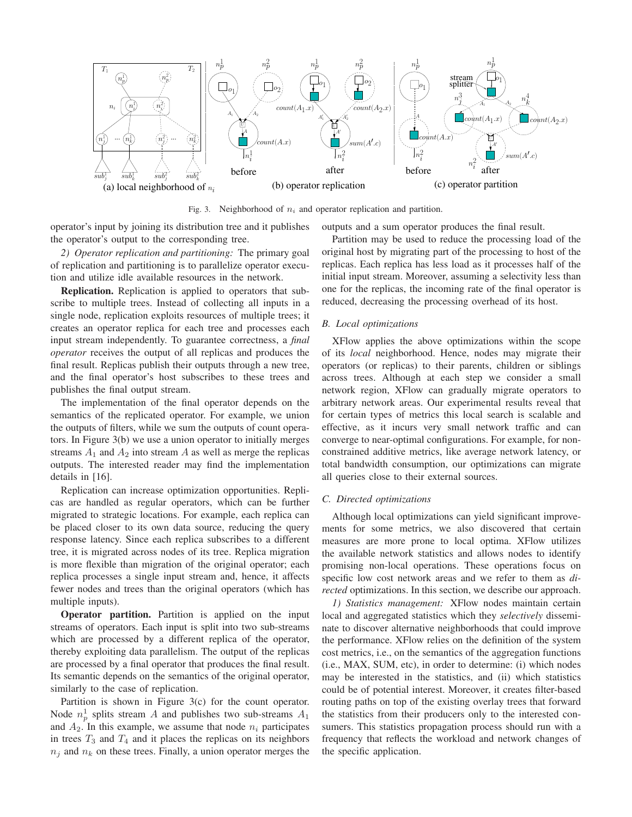

Fig. 3. Neighborhood of  $n_i$  and operator replication and partition.

operator's input by joining its distribution tree and it publishes the operator's output to the corresponding tree.

*2) Operator replication and partitioning:* The primary goal of replication and partitioning is to parallelize operator execution and utilize idle available resources in the network.

**Replication.** Replication is applied to operators that subscribe to multiple trees. Instead of collecting all inputs in a single node, replication exploits resources of multiple trees; it creates an operator replica for each tree and processes each input stream independently. To guarantee correctness, a *final operator* receives the output of all replicas and produces the final result. Replicas publish their outputs through a new tree, and the final operator's host subscribes to these trees and publishes the final output stream.

The implementation of the final operator depends on the semantics of the replicated operator. For example, we union the outputs of filters, while we sum the outputs of count operators. In Figure 3(b) we use a union operator to initially merges streams  $A_1$  and  $A_2$  into stream A as well as merge the replicas outputs. The interested reader may find the implementation details in [16].

Replication can increase optimization opportunities. Replicas are handled as regular operators, which can be further migrated to strategic locations. For example, each replica can be placed closer to its own data source, reducing the query response latency. Since each replica subscribes to a different tree, it is migrated across nodes of its tree. Replica migration is more flexible than migration of the original operator; each replica processes a single input stream and, hence, it affects fewer nodes and trees than the original operators (which has multiple inputs).

**Operator partition.** Partition is applied on the input streams of operators. Each input is split into two sub-streams which are processed by a different replica of the operator, thereby exploiting data parallelism. The output of the replicas are processed by a final operator that produces the final result. Its semantic depends on the semantics of the original operator, similarly to the case of replication.

Partition is shown in Figure 3(c) for the count operator. Node  $n_p^1$  splits stream A and publishes two sub-streams  $A_1$ and  $A_2$ . In this example, we assume that node  $n_i$  participates in trees  $T_3$  and  $T_4$  and it places the replicas on its neighbors  $n_i$  and  $n_k$  on these trees. Finally, a union operator merges the outputs and a sum operator produces the final result.

Partition may be used to reduce the processing load of the original host by migrating part of the processing to host of the replicas. Each replica has less load as it processes half of the initial input stream. Moreover, assuming a selectivity less than one for the replicas, the incoming rate of the final operator is reduced, decreasing the processing overhead of its host.

## *B. Local optimizations*

XFlow applies the above optimizations within the scope of its *local* neighborhood. Hence, nodes may migrate their operators (or replicas) to their parents, children or siblings across trees. Although at each step we consider a small network region, XFlow can gradually migrate operators to arbitrary network areas. Our experimental results reveal that for certain types of metrics this local search is scalable and effective, as it incurs very small network traffic and can converge to near-optimal configurations. For example, for nonconstrained additive metrics, like average network latency, or total bandwidth consumption, our optimizations can migrate all queries close to their external sources.

## *C. Directed optimizations*

Although local optimizations can yield significant improvements for some metrics, we also discovered that certain measures are more prone to local optima. XFlow utilizes the available network statistics and allows nodes to identify promising non-local operations. These operations focus on specific low cost network areas and we refer to them as *directed* optimizations. In this section, we describe our approach.

*1) Statistics management:* XFlow nodes maintain certain local and aggregated statistics which they *selectively* disseminate to discover alternative neighborhoods that could improve the performance. XFlow relies on the definition of the system cost metrics, i.e., on the semantics of the aggregation functions (i.e., MAX, SUM, etc), in order to determine: (i) which nodes may be interested in the statistics, and (ii) which statistics could be of potential interest. Moreover, it creates filter-based routing paths on top of the existing overlay trees that forward the statistics from their producers only to the interested consumers. This statistics propagation process should run with a frequency that reflects the workload and network changes of the specific application.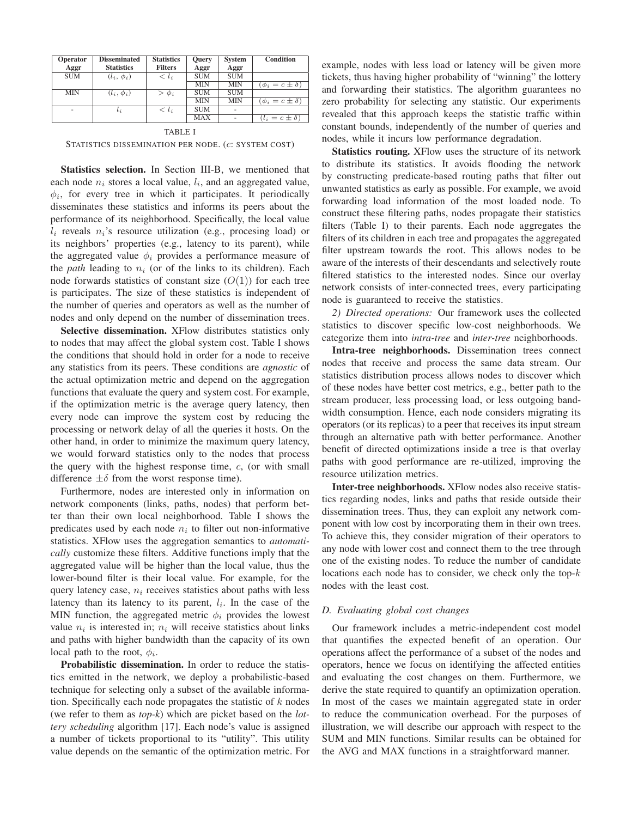| Operator<br>Aggr | <b>Disseminated</b><br><b>Statistics</b> | <b>Statistics</b><br><b>Filters</b> | <b>Ouery</b><br>Aggr | <b>System</b><br>Aggr | <b>Condition</b>          |
|------------------|------------------------------------------|-------------------------------------|----------------------|-----------------------|---------------------------|
|                  |                                          |                                     |                      |                       |                           |
| <b>SUM</b>       | $(l_i, \phi_i)$                          | $< l_i$                             | <b>SUM</b>           | <b>SUM</b>            |                           |
|                  |                                          |                                     | MIN                  | <b>MIN</b>            | $(\phi_i = c \pm \delta)$ |
| <b>MIN</b>       | $(l_i, \phi_i)$                          | $\phi_i$                            | <b>SUM</b>           | <b>SUM</b>            |                           |
|                  |                                          |                                     | MIN                  | <b>MIN</b>            | $(\phi_i = c \pm \delta)$ |
| ٠                | $l_i$                                    | $< l_i$                             | <b>SUM</b>           |                       |                           |
|                  |                                          |                                     | <b>MAX</b>           |                       | $(l_i = c \pm \delta)$    |

TABLE I STATISTICS DISSEMINATION PER NODE. (c: SYSTEM COST)

**Statistics selection.** In Section III-B, we mentioned that each node  $n_i$  stores a local value,  $l_i$ , and an aggregated value,  $\phi_i$ , for every tree in which it participates. It periodically disseminates these statistics and informs its peers about the performance of its neighborhood. Specifically, the local value  $l_i$  reveals  $n_i$ 's resource utilization (e.g., procesing load) or its neighbors' properties (e.g., latency to its parent), while the aggregated value  $\phi_i$  provides a performance measure of the *path* leading to  $n_i$  (or of the links to its children). Each node forwards statistics of constant size  $(O(1))$  for each tree is participates. The size of these statistics is independent of the number of queries and operators as well as the number of nodes and only depend on the number of dissemination trees.

**Selective dissemination.** XFlow distributes statistics only to nodes that may affect the global system cost. Table I shows the conditions that should hold in order for a node to receive any statistics from its peers. These conditions are *agnostic* of the actual optimization metric and depend on the aggregation functions that evaluate the query and system cost. For example, if the optimization metric is the average query latency, then every node can improve the system cost by reducing the processing or network delay of all the queries it hosts. On the other hand, in order to minimize the maximum query latency, we would forward statistics only to the nodes that process the query with the highest response time,  $c$ , (or with small difference  $\pm \delta$  from the worst response time).

Furthermore, nodes are interested only in information on network components (links, paths, nodes) that perform better than their own local neighborhood. Table I shows the predicates used by each node  $n_i$  to filter out non-informative statistics. XFlow uses the aggregation semantics to *automatically* customize these filters. Additive functions imply that the aggregated value will be higher than the local value, thus the lower-bound filter is their local value. For example, for the query latency case,  $n_i$  receives statistics about paths with less latency than its latency to its parent,  $l_i$ . In the case of the MIN function, the aggregated metric  $\phi_i$  provides the lowest value  $n_i$  is interested in;  $n_i$  will receive statistics about links and paths with higher bandwidth than the capacity of its own local path to the root,  $\phi_i$ .

**Probabilistic dissemination.** In order to reduce the statistics emitted in the network, we deploy a probabilistic-based technique for selecting only a subset of the available information. Specifically each node propagates the statistic of  $k$  nodes (we refer to them as *top-k*) which are picket based on the *lottery scheduling* algorithm [17]. Each node's value is assigned a number of tickets proportional to its "utility". This utility value depends on the semantic of the optimization metric. For

example, nodes with less load or latency will be given more tickets, thus having higher probability of "winning" the lottery and forwarding their statistics. The algorithm guarantees no zero probability for selecting any statistic. Our experiments revealed that this approach keeps the statistic traffic within constant bounds, independently of the number of queries and nodes, while it incurs low performance degradation.

**Statistics routing.** XFlow uses the structure of its network to distribute its statistics. It avoids flooding the network by constructing predicate-based routing paths that filter out unwanted statistics as early as possible. For example, we avoid forwarding load information of the most loaded node. To construct these filtering paths, nodes propagate their statistics filters (Table I) to their parents. Each node aggregates the filters of its children in each tree and propagates the aggregated filter upstream towards the root. This allows nodes to be aware of the interests of their descendants and selectively route filtered statistics to the interested nodes. Since our overlay network consists of inter-connected trees, every participating node is guaranteed to receive the statistics.

*2) Directed operations:* Our framework uses the collected statistics to discover specific low-cost neighborhoods. We categorize them into *intra-tree* and *inter-tree* neighborhoods.

**Intra-tree neighborhoods.** Dissemination trees connect nodes that receive and process the same data stream. Our statistics distribution process allows nodes to discover which of these nodes have better cost metrics, e.g., better path to the stream producer, less processing load, or less outgoing bandwidth consumption. Hence, each node considers migrating its operators (or its replicas) to a peer that receives its input stream through an alternative path with better performance. Another benefit of directed optimizations inside a tree is that overlay paths with good performance are re-utilized, improving the resource utilization metrics.

**Inter-tree neighborhoods.** XFlow nodes also receive statistics regarding nodes, links and paths that reside outside their dissemination trees. Thus, they can exploit any network component with low cost by incorporating them in their own trees. To achieve this, they consider migration of their operators to any node with lower cost and connect them to the tree through one of the existing nodes. To reduce the number of candidate locations each node has to consider, we check only the top- $k$ nodes with the least cost.

#### *D. Evaluating global cost changes*

Our framework includes a metric-independent cost model that quantifies the expected benefit of an operation. Our operations affect the performance of a subset of the nodes and operators, hence we focus on identifying the affected entities and evaluating the cost changes on them. Furthermore, we derive the state required to quantify an optimization operation. In most of the cases we maintain aggregated state in order to reduce the communication overhead. For the purposes of illustration, we will describe our approach with respect to the SUM and MIN functions. Similar results can be obtained for the AVG and MAX functions in a straightforward manner.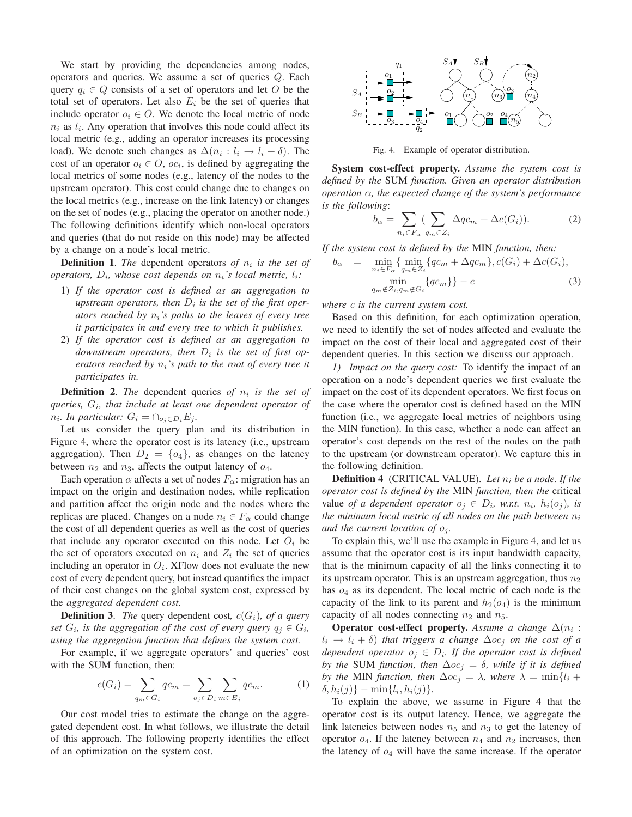We start by providing the dependencies among nodes, operators and queries. We assume a set of queries Q. Each query  $q_i \in Q$  consists of a set of operators and let O be the total set of operators. Let also  $E_i$  be the set of queries that include operator  $o_i \in O$ . We denote the local metric of node  $n_i$  as  $l_i$ . Any operation that involves this node could affect its local metric (e.g., adding an operator increases its processing load). We denote such changes as  $\Delta(n_i : l_i \to l_i + \delta)$ . The cost of an operator  $o_i \in O$ ,  $oc_i$ , is defined by aggregating the local metrics of some nodes (e.g., latency of the nodes to the upstream operator). This cost could change due to changes on the local metrics (e.g., increase on the link latency) or changes on the set of nodes (e.g., placing the operator on another node.) The following definitions identify which non-local operators and queries (that do not reside on this node) may be affected by a change on a node's local metric.

**Definition 1.** *The* dependent operators of  $n_i$  is the set of *operators,*  $D_i$ *, whose cost depends on*  $n_i$ *'s local metric,*  $l_i$ *:* 

- 1) *If the operator cost is defined as an aggregation to* upstream operators, then  $D_i$  is the set of the first oper*ators reached by*  $n_i$ *'s paths to the leaves of every tree it participates in and every tree to which it publishes.*
- 2) *If the operator cost is defined as an aggregation to downstream operators, then*  $D_i$  *is the set of first operators reached by n<sub>i</sub>'s path to the root of every tree it participates in.*

**Definition 2.** *The* dependent queries of  $n_i$  *is the set of queries,* Gi*, that include at least one dependent operator of*  $n_i$ *. In particular:*  $G_i = \bigcap_{o_i \in D_i} E_i$ *.* 

Let us consider the query plan and its distribution in Figure 4, where the operator cost is its latency (i.e., upstream aggregation). Then  $D_2 = \{o_4\}$ , as changes on the latency between  $n_2$  and  $n_3$ , affects the output latency of  $o_4$ .

Each operation  $\alpha$  affects a set of nodes  $F_{\alpha}$ : migration has an impact on the origin and destination nodes, while replication and partition affect the origin node and the nodes where the replicas are placed. Changes on a node  $n_i \in F_\alpha$  could change the cost of all dependent queries as well as the cost of queries that include any operator executed on this node. Let  $O_i$  be the set of operators executed on  $n_i$  and  $Z_i$  the set of queries including an operator in  $O_i$ . XFlow does not evaluate the new cost of every dependent query, but instead quantifies the impact of their cost changes on the global system cost, expressed by the *aggregated dependent cost*.

**Definition 3.** *The* query dependent cost,  $c(G_i)$ *, of a query set*  $G_i$ *, is the aggregation of the cost of every query*  $q_i \in G_i$ *, using the aggregation function that defines the system cost.*

For example, if we aggregate operators' and queries' cost with the SUM function, then:

$$
c(G_i) = \sum_{q_m \in G_i} qc_m = \sum_{o_j \in D_i} \sum_{m \in E_j} qc_m.
$$
 (1)

Our cost model tries to estimate the change on the aggregated dependent cost. In what follows, we illustrate the detail of this approach. The following property identifies the effect of an optimization on the system cost.



Fig. 4. Example of operator distribution.

**System cost-effect property.** *Assume the system cost is defined by the* SUM *function. Given an operator distribution operation* α*, the expected change of the system's performance is the following*:

$$
b_{\alpha} = \sum_{n_i \in F_{\alpha}} \sum_{q_m \in Z_i} \Delta q c_m + \Delta c(G_i)). \tag{2}
$$

*If the system cost is defined by the* MIN *function, then:*

$$
b_{\alpha} = \min_{n_i \in F_{\alpha}} \{ \min_{q_m \in Z_i} \{ qc_m + \Delta qc_m \}, c(G_i) + \Delta c(G_i),
$$
  
\n
$$
\min_{q_m \notin Z_i, q_m \notin G_i} \{ qc_m \} - c
$$
  
\n(3)

*where* c *is the current system cost.*

Based on this definition, for each optimization operation, we need to identify the set of nodes affected and evaluate the impact on the cost of their local and aggregated cost of their dependent queries. In this section we discuss our approach.

*1) Impact on the query cost:* To identify the impact of an operation on a node's dependent queries we first evaluate the impact on the cost of its dependent operators. We first focus on the case where the operator cost is defined based on the MIN function (i.e., we aggregate local metrics of neighbors using the MIN function). In this case, whether a node can affect an operator's cost depends on the rest of the nodes on the path to the upstream (or downstream operator). We capture this in the following definition.

**Definition 4** (CRITICAL VALUE). Let  $n_i$  be a node. If the *operator cost is defined by the* MIN *function, then the* critical value *of a dependent operator*  $o_j \in D_i$ *, w.r.t.*  $n_i$ *,*  $h_i(o_j)$ *, is the minimum local metric of all nodes on the path between*  $n_i$ *and the current location of*  $o_i$ *.* 

To explain this, we'll use the example in Figure 4, and let us assume that the operator cost is its input bandwidth capacity, that is the minimum capacity of all the links connecting it to its upstream operator. This is an upstream aggregation, thus  $n_2$ has  $o_4$  as its dependent. The local metric of each node is the capacity of the link to its parent and  $h_2(o_4)$  is the minimum capacity of all nodes connecting  $n_2$  and  $n_5$ .

**Operator cost-effect property.** *Assume a change*  $\Delta(n_i)$ :  $l_i \rightarrow l_i + \delta$ ) *that triggers a change*  $\Delta o c_i$  *on the cost of a dependent operator*  $o_i \in D_i$ *. If the operator cost is defined by the* SUM *function, then*  $\Delta o c_j = \delta$ *, while if it is defined by the* MIN *function, then*  $\Delta oc_i = \lambda$ *, where*  $\lambda = \min\{l_i + \lambda\}$  $\delta, h_i(j)$ } – min{l<sub>i</sub>, h<sub>i</sub>(j)}.

To explain the above, we assume in Figure 4 that the operator cost is its output latency. Hence, we aggregate the link latencies between nodes  $n_5$  and  $n_3$  to get the latency of operator  $o_4$ . If the latency between  $n_4$  and  $n_2$  increases, then the latency of  $o_4$  will have the same increase. If the operator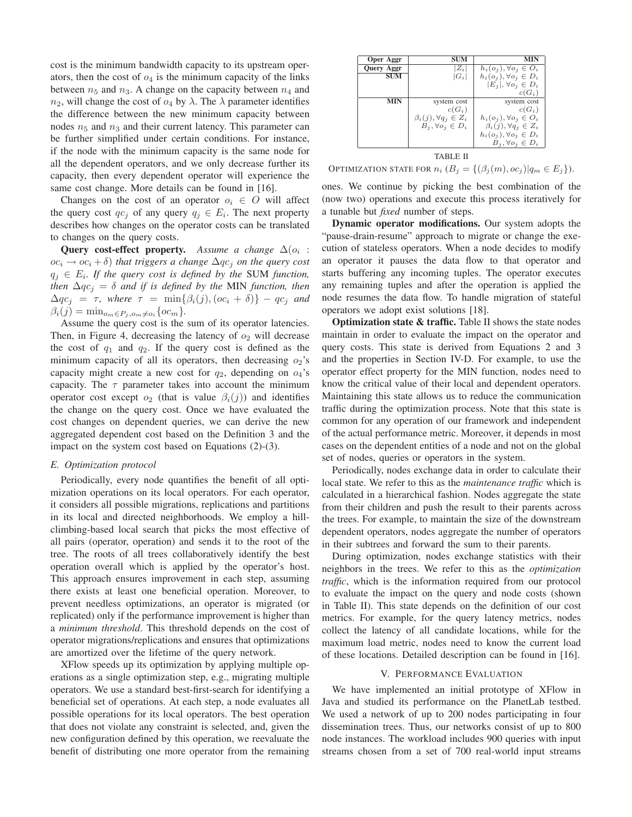cost is the minimum bandwidth capacity to its upstream operators, then the cost of  $o_4$  is the minimum capacity of the links between  $n_5$  and  $n_3$ . A change on the capacity between  $n_4$  and  $n_2$ , will change the cost of  $o_4$  by  $\lambda$ . The  $\lambda$  parameter identifies the difference between the new minimum capacity between nodes  $n_5$  and  $n_3$  and their current latency. This parameter can be further simplified under certain conditions. For instance, if the node with the minimum capacity is the same node for all the dependent operators, and we only decrease further its capacity, then every dependent operator will experience the same cost change. More details can be found in [16].

Changes on the cost of an operator  $o_i \in O$  will affect the query cost  $qc_j$  of any query  $q_j \in E_i$ . The next property describes how changes on the operator costs can be translated to changes on the query costs.

**Query cost-effect property.** Assume a change  $\Delta(o_i)$ :  $\overline{oc_i} \rightarrow \overline{oc_i} + \delta$ ) *that triggers a change*  $\Delta qc_i$  *on the query cost*  $q_i \in E_i$ . If the query cost is defined by the SUM function, *then*  $\Delta qc_i = \delta$  *and if is defined by the MIN function, then*  $\Delta qc_j = \tau$ , where  $\tau = \min\{\beta_i(j), (oc_i + \delta)\} - qc_j$  and  $\beta_i(j) = \min_{o_m \in P_j, o_m \neq o_i} \{oc_m\}.$ 

Assume the query cost is the sum of its operator latencies. Then, in Figure 4, decreasing the latency of  $o_2$  will decrease the cost of  $q_1$  and  $q_2$ . If the query cost is defined as the minimum capacity of all its operators, then decreasing  $o_2$ 's capacity might create a new cost for  $q_2$ , depending on  $o_4$ 's capacity. The  $\tau$  parameter takes into account the minimum operator cost except  $o_2$  (that is value  $\beta_i(j)$ ) and identifies the change on the query cost. Once we have evaluated the cost changes on dependent queries, we can derive the new aggregated dependent cost based on the Definition 3 and the impact on the system cost based on Equations (2)-(3).

#### *E. Optimization protocol*

Periodically, every node quantifies the benefit of all optimization operations on its local operators. For each operator, it considers all possible migrations, replications and partitions in its local and directed neighborhoods. We employ a hillclimbing-based local search that picks the most effective of all pairs (operator, operation) and sends it to the root of the tree. The roots of all trees collaboratively identify the best operation overall which is applied by the operator's host. This approach ensures improvement in each step, assuming there exists at least one beneficial operation. Moreover, to prevent needless optimizations, an operator is migrated (or replicated) only if the performance improvement is higher than a *minimum threshold*. This threshold depends on the cost of operator migrations/replications and ensures that optimizations are amortized over the lifetime of the query network.

XFlow speeds up its optimization by applying multiple operations as a single optimization step, e.g., migrating multiple operators. We use a standard best-first-search for identifying a beneficial set of operations. At each step, a node evaluates all possible operations for its local operators. The best operation that does not violate any constraint is selected, and, given the new configuration defined by this operation, we reevaluate the benefit of distributing one more operator from the remaining

| Oper Aggr         | SUM                               | <b>MIN</b>                        |  |  |  |
|-------------------|-----------------------------------|-----------------------------------|--|--|--|
| <b>Query Aggr</b> | $Z_i$                             | $h_i(o_i), \forall o_i \in O_i$   |  |  |  |
| <b>SUM</b>        | $ G_i $                           | $h_i(o_i), \forall o_i \in D_i$   |  |  |  |
|                   |                                   | $ E_i , \forall o_i \in D_i$      |  |  |  |
|                   |                                   | $c(G_i)$                          |  |  |  |
| MIN               | system cost                       | system cost                       |  |  |  |
|                   | $c(G_i)$                          | $c(G_i)$                          |  |  |  |
|                   | $\beta_i(j), \forall q_j \in Z_i$ | $h_i(o_i), \forall o_i \in O_i$   |  |  |  |
|                   | $B_i, \forall o_i \in D_i$        | $\beta_i(j), \forall q_j \in Z_i$ |  |  |  |
|                   |                                   | $h_i(o_i), \forall o_i \in D_i$   |  |  |  |
|                   |                                   | $B_i, \forall o_i \in D_i$        |  |  |  |
| TABLE II          |                                   |                                   |  |  |  |

OPTIMIZATION STATE FOR  $n_i$  ( $B_j = \{(\beta_j(m), oc_j) | q_m \in E_j \}$ ).

ones. We continue by picking the best combination of the (now two) operations and execute this process iteratively for a tunable but *fixed* number of steps.

**Dynamic operator modifications.** Our system adopts the "pause-drain-resume" approach to migrate or change the execution of stateless operators. When a node decides to modify an operator it pauses the data flow to that operator and starts buffering any incoming tuples. The operator executes any remaining tuples and after the operation is applied the node resumes the data flow. To handle migration of stateful operators we adopt exist solutions [18].

**Optimization state & traffic.** Table II shows the state nodes maintain in order to evaluate the impact on the operator and query costs. This state is derived from Equations 2 and 3 and the properties in Section IV-D. For example, to use the operator effect property for the MIN function, nodes need to know the critical value of their local and dependent operators. Maintaining this state allows us to reduce the communication traffic during the optimization process. Note that this state is common for any operation of our framework and independent of the actual performance metric. Moreover, it depends in most cases on the dependent entities of a node and not on the global set of nodes, queries or operators in the system.

Periodically, nodes exchange data in order to calculate their local state. We refer to this as the *maintenance traffic* which is calculated in a hierarchical fashion. Nodes aggregate the state from their children and push the result to their parents across the trees. For example, to maintain the size of the downstream dependent operators, nodes aggregate the number of operators in their subtrees and forward the sum to their parents.

During optimization, nodes exchange statistics with their neighbors in the trees. We refer to this as the *optimization traffic*, which is the information required from our protocol to evaluate the impact on the query and node costs (shown in Table II). This state depends on the definition of our cost metrics. For example, for the query latency metrics, nodes collect the latency of all candidate locations, while for the maximum load metric, nodes need to know the current load of these locations. Detailed description can be found in [16].

#### V. PERFORMANCE EVALUATION

We have implemented an initial prototype of XFlow in Java and studied its performance on the PlanetLab testbed. We used a network of up to 200 nodes participating in four dissemination trees. Thus, our networks consist of up to 800 node instances. The workload includes 900 queries with input streams chosen from a set of 700 real-world input streams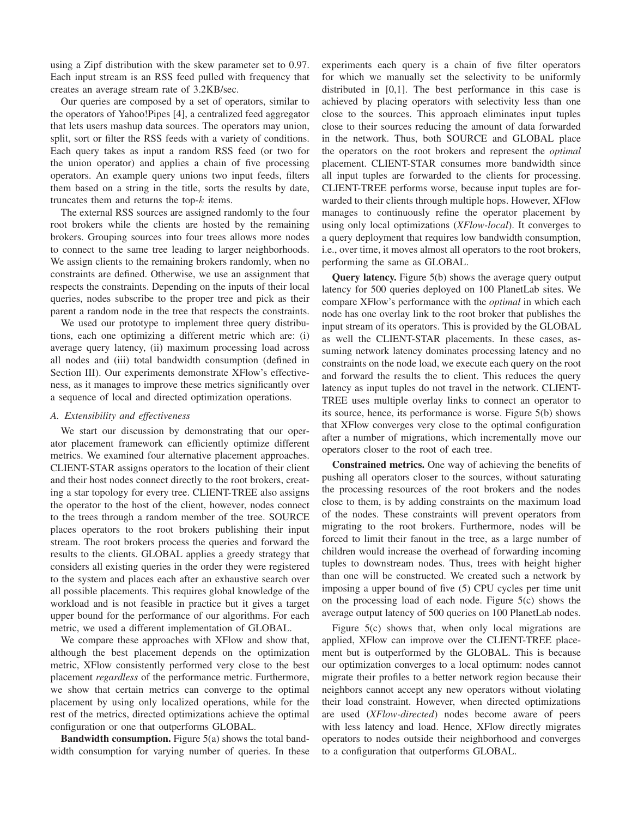using a Zipf distribution with the skew parameter set to 0.97. Each input stream is an RSS feed pulled with frequency that creates an average stream rate of 3.2KB/sec.

Our queries are composed by a set of operators, similar to the operators of Yahoo!Pipes [4], a centralized feed aggregator that lets users mashup data sources. The operators may union, split, sort or filter the RSS feeds with a variety of conditions. Each query takes as input a random RSS feed (or two for the union operator) and applies a chain of five processing operators. An example query unions two input feeds, filters them based on a string in the title, sorts the results by date, truncates them and returns the top-k items.

The external RSS sources are assigned randomly to the four root brokers while the clients are hosted by the remaining brokers. Grouping sources into four trees allows more nodes to connect to the same tree leading to larger neighborhoods. We assign clients to the remaining brokers randomly, when no constraints are defined. Otherwise, we use an assignment that respects the constraints. Depending on the inputs of their local queries, nodes subscribe to the proper tree and pick as their parent a random node in the tree that respects the constraints.

We used our prototype to implement three query distributions, each one optimizing a different metric which are: (i) average query latency, (ii) maximum processing load across all nodes and (iii) total bandwidth consumption (defined in Section III). Our experiments demonstrate XFlow's effectiveness, as it manages to improve these metrics significantly over a sequence of local and directed optimization operations.

## *A. Extensibility and effectiveness*

We start our discussion by demonstrating that our operator placement framework can efficiently optimize different metrics. We examined four alternative placement approaches. CLIENT-STAR assigns operators to the location of their client and their host nodes connect directly to the root brokers, creating a star topology for every tree. CLIENT-TREE also assigns the operator to the host of the client, however, nodes connect to the trees through a random member of the tree. SOURCE places operators to the root brokers publishing their input stream. The root brokers process the queries and forward the results to the clients. GLOBAL applies a greedy strategy that considers all existing queries in the order they were registered to the system and places each after an exhaustive search over all possible placements. This requires global knowledge of the workload and is not feasible in practice but it gives a target upper bound for the performance of our algorithms. For each metric, we used a different implementation of GLOBAL.

We compare these approaches with XFlow and show that, although the best placement depends on the optimization metric, XFlow consistently performed very close to the best placement *regardless* of the performance metric. Furthermore, we show that certain metrics can converge to the optimal placement by using only localized operations, while for the rest of the metrics, directed optimizations achieve the optimal configuration or one that outperforms GLOBAL.

**Bandwidth consumption.** Figure 5(a) shows the total bandwidth consumption for varying number of queries. In these experiments each query is a chain of five filter operators for which we manually set the selectivity to be uniformly distributed in [0,1]. The best performance in this case is achieved by placing operators with selectivity less than one close to the sources. This approach eliminates input tuples close to their sources reducing the amount of data forwarded in the network. Thus, both SOURCE and GLOBAL place the operators on the root brokers and represent the *optimal* placement. CLIENT-STAR consumes more bandwidth since all input tuples are forwarded to the clients for processing. CLIENT-TREE performs worse, because input tuples are forwarded to their clients through multiple hops. However, XFlow manages to continuously refine the operator placement by using only local optimizations (*XFlow-local*). It converges to a query deployment that requires low bandwidth consumption, i.e., over time, it moves almost all operators to the root brokers, performing the same as GLOBAL.

**Query latency.** Figure 5(b) shows the average query output latency for 500 queries deployed on 100 PlanetLab sites. We compare XFlow's performance with the *optimal* in which each node has one overlay link to the root broker that publishes the input stream of its operators. This is provided by the GLOBAL as well the CLIENT-STAR placements. In these cases, assuming network latency dominates processing latency and no constraints on the node load, we execute each query on the root and forward the results the to client. This reduces the query latency as input tuples do not travel in the network. CLIENT-TREE uses multiple overlay links to connect an operator to its source, hence, its performance is worse. Figure 5(b) shows that XFlow converges very close to the optimal configuration after a number of migrations, which incrementally move our operators closer to the root of each tree.

**Constrained metrics.** One way of achieving the benefits of pushing all operators closer to the sources, without saturating the processing resources of the root brokers and the nodes close to them, is by adding constraints on the maximum load of the nodes. These constraints will prevent operators from migrating to the root brokers. Furthermore, nodes will be forced to limit their fanout in the tree, as a large number of children would increase the overhead of forwarding incoming tuples to downstream nodes. Thus, trees with height higher than one will be constructed. We created such a network by imposing a upper bound of five (5) CPU cycles per time unit on the processing load of each node. Figure 5(c) shows the average output latency of 500 queries on 100 PlanetLab nodes.

Figure 5(c) shows that, when only local migrations are applied, XFlow can improve over the CLIENT-TREE placement but is outperformed by the GLOBAL. This is because our optimization converges to a local optimum: nodes cannot migrate their profiles to a better network region because their neighbors cannot accept any new operators without violating their load constraint. However, when directed optimizations are used (*XFlow-directed*) nodes become aware of peers with less latency and load. Hence, XFlow directly migrates operators to nodes outside their neighborhood and converges to a configuration that outperforms GLOBAL.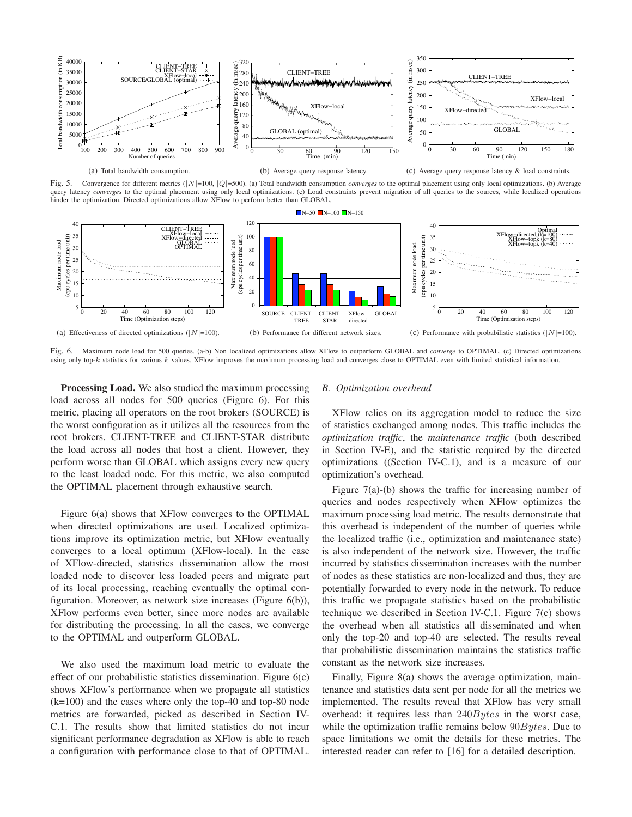

Fig. 5. Convergence for different metrics ( $|N|=100$ ,  $|Q|=500$ ). (a) Total bandwidth consumption *converges* to the optimal placement using only local optimizations. (b) Average query latency *converges* to the optimal placement using only local optimizations. (c) Load constraints prevent migration of all queries to the sources, while localized operations hinder the optimization. Directed optimizations allow XFlow to perform better than GLOBAL.



Fig. 6. Maximum node load for 500 queries. (a-b) Non localized optimizations allow XFlow to outperform GLOBAL and *converge* to OPTIMAL. (c) Directed optimizations using only top-k statistics for various k values. XFlow improves the maximum processing load and converges close to OPTIMAL even with limited statistical information.

**Processing Load.** We also studied the maximum processing load across all nodes for 500 queries (Figure 6). For this metric, placing all operators on the root brokers (SOURCE) is the worst configuration as it utilizes all the resources from the root brokers. CLIENT-TREE and CLIENT-STAR distribute the load across all nodes that host a client. However, they perform worse than GLOBAL which assigns every new query to the least loaded node. For this metric, we also computed the OPTIMAL placement through exhaustive search.

Figure 6(a) shows that XFlow converges to the OPTIMAL when directed optimizations are used. Localized optimizations improve its optimization metric, but XFlow eventually converges to a local optimum (XFlow-local). In the case of XFlow-directed, statistics dissemination allow the most loaded node to discover less loaded peers and migrate part of its local processing, reaching eventually the optimal configuration. Moreover, as network size increases (Figure 6(b)), XFlow performs even better, since more nodes are available for distributing the processing. In all the cases, we converge to the OPTIMAL and outperform GLOBAL.

We also used the maximum load metric to evaluate the effect of our probabilistic statistics dissemination. Figure  $6(c)$ shows XFlow's performance when we propagate all statistics (k=100) and the cases where only the top-40 and top-80 node metrics are forwarded, picked as described in Section IV-C.1. The results show that limited statistics do not incur significant performance degradation as XFlow is able to reach a configuration with performance close to that of OPTIMAL.

#### *B. Optimization overhead*

XFlow relies on its aggregation model to reduce the size of statistics exchanged among nodes. This traffic includes the *optimization traffic*, the *maintenance traffic* (both described in Section IV-E), and the statistic required by the directed optimizations ((Section IV-C.1), and is a measure of our optimization's overhead.

Figure 7(a)-(b) shows the traffic for increasing number of queries and nodes respectively when XFlow optimizes the maximum processing load metric. The results demonstrate that this overhead is independent of the number of queries while the localized traffic (i.e., optimization and maintenance state) is also independent of the network size. However, the traffic incurred by statistics dissemination increases with the number of nodes as these statistics are non-localized and thus, they are potentially forwarded to every node in the network. To reduce this traffic we propagate statistics based on the probabilistic technique we described in Section IV-C.1. Figure 7(c) shows the overhead when all statistics all disseminated and when only the top-20 and top-40 are selected. The results reveal that probabilistic dissemination maintains the statistics traffic constant as the network size increases.

Finally, Figure 8(a) shows the average optimization, maintenance and statistics data sent per node for all the metrics we implemented. The results reveal that XFlow has very small overhead: it requires less than 240Bytes in the worst case, while the optimization traffic remains below  $90Bytes$ . Due to space limitations we omit the details for these metrics. The interested reader can refer to [16] for a detailed description.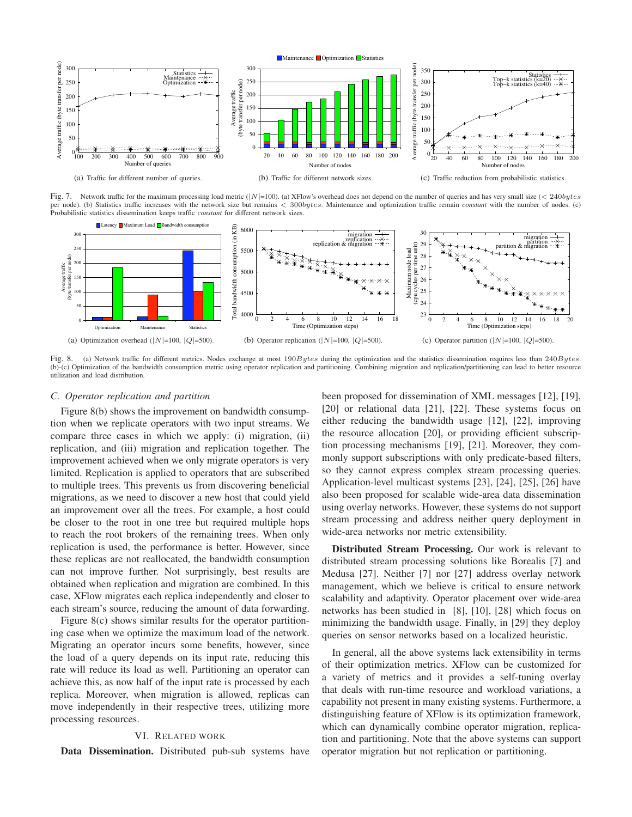

Fig. 7. Network traffic for the maximum processing load metric ( $|N|=100$ ). (a) XFlow's overhead does not depend on the number of queries and has very small size (< 240bytes per node). (b) Statistics traffic increases with the network size but remains < 300bytes. Maintenance and optimization traffic remain *constant* with the number of nodes. (c) Probabilistic statistics dissemination keeps tr



Fig. 8. (a) Network traffic for different metrics. Nodes exchange at most 190Bytes during the optimization and the statistics dissemination requires less than 240Bytes. (b)-(c) Optimization of the bandwidth consumption metric using operator replication and partitioning. Combining migration and replication/partitioning can lead to better resource utilization and load distribution.

#### *C. Operator replication and partition*

Figure 8(b) shows the improvement on bandwidth consumption when we replicate operators with two input streams. We compare three cases in which we apply: (i) migration, (ii) replication, and (iii) migration and replication together. The improvement achieved when we only migrate operators is very limited. Replication is applied to operators that are subscribed to multiple trees. This prevents us from discovering beneficial migrations, as we need to discover a new host that could yield an improvement over all the trees. For example, a host could be closer to the root in one tree but required multiple hops to reach the root brokers of the remaining trees. When only replication is used, the performance is better. However, since these replicas are not reallocated, the bandwidth consumption can not improve further. Not surprisingly, best results are obtained when replication and migration are combined. In this case, XFlow migrates each replica independently and closer to each stream's source, reducing the amount of data forwarding.

Figure 8(c) shows similar results for the operator partitioning case when we optimize the maximum load of the network. Migrating an operator incurs some benefits, however, since the load of a query depends on its input rate, reducing this rate will reduce its load as well. Partitioning an operator can achieve this, as now half of the input rate is processed by each replica. Moreover, when migration is allowed, replicas can move independently in their respective trees, utilizing more processing resources.

## VI. RELATED WORK

**Data Dissemination.** Distributed pub-sub systems have

been proposed for dissemination of XML messages [12], [19], [20] or relational data [21], [22]. These systems focus on either reducing the bandwidth usage [12], [22], improving the resource allocation [20], or providing efficient subscription processing mechanisms [19], [21]. Moreover, they commonly support subscriptions with only predicate-based filters, so they cannot express complex stream processing queries. Application-level multicast systems [23], [24], [25], [26] have also been proposed for scalable wide-area data dissemination using overlay networks. However, these systems do not support stream processing and address neither query deployment in wide-area networks nor metric extensibility.

**Distributed Stream Processing.** Our work is relevant to distributed stream processing solutions like Borealis [7] and Medusa [27]. Neither [7] nor [27] address overlay network management, which we believe is critical to ensure network scalability and adaptivity. Operator placement over wide-area networks has been studied in [8], [10], [28] which focus on minimizing the bandwidth usage. Finally, in [29] they deploy queries on sensor networks based on a localized heuristic.

In general, all the above systems lack extensibility in terms of their optimization metrics. XFlow can be customized for a variety of metrics and it provides a self-tuning overlay that deals with run-time resource and workload variations, a capability not present in many existing systems. Furthermore, a distinguishing feature of XFlow is its optimization framework, which can dynamically combine operator migration, replication and partitioning. Note that the above systems can support operator migration but not replication or partitioning.